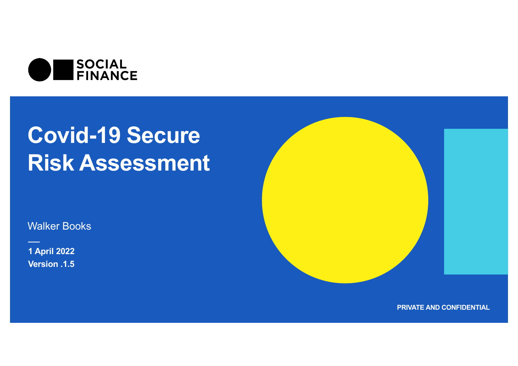

Walker Books

**1 April 2022 Version .1.5**



**PRIVATE AND CONFIDENTIAL**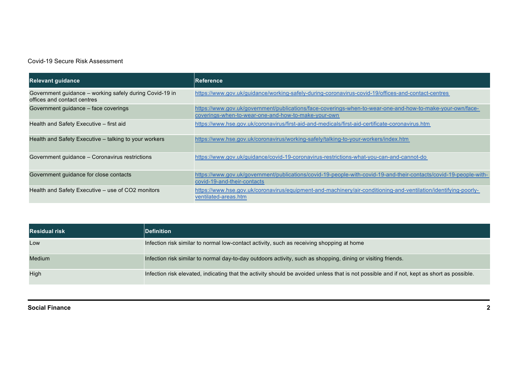| <b>Relevant quidance</b>                                                               | lReference                                                                                                                                                       |
|----------------------------------------------------------------------------------------|------------------------------------------------------------------------------------------------------------------------------------------------------------------|
| Government guidance – working safely during Covid-19 in<br>offices and contact centres | https://www.gov.uk/guidance/working-safely-during-coronavirus-covid-19/offices-and-contact-centres                                                               |
| Government guidance - face coverings                                                   | https://www.gov.uk/government/publications/face-coverings-when-to-wear-one-and-how-to-make-your-own/face-<br>coverings-when-to-wear-one-and-how-to-make-your-own |
| Health and Safety Executive - first aid                                                | https://www.hse.gov.uk/coronavirus/first-aid-and-medicals/first-aid-certificate-coronavirus.htm                                                                  |
| Health and Safety Executive - talking to your workers                                  | https://www.hse.gov.uk/coronavirus/working-safely/talking-to-your-workers/index.htm                                                                              |
| Government guidance - Coronavirus restrictions                                         | https://www.gov.uk/guidance/covid-19-coronavirus-restrictions-what-you-can-and-cannot-do                                                                         |
| Government guidance for close contacts                                                 | https://www.gov.uk/government/publications/covid-19-people-with-covid-19-and-their-contacts/covid-19-people-with-<br>covid-19-and-their-contacts                 |
| Health and Safety Executive - use of CO2 monitors                                      | https://www.hse.gov.uk/coronavirus/equipment-and-machinery/air-conditioning-and-ventilation/identifying-poorly-<br>ventilated-areas.htm                          |

| <b>Residual risk</b> | <b>Definition</b>                                                                                                                          |
|----------------------|--------------------------------------------------------------------------------------------------------------------------------------------|
| Low                  | Infection risk similar to normal low-contact activity, such as receiving shopping at home                                                  |
| Medium               | Infection risk similar to normal day-to-day outdoors activity, such as shopping, dining or visiting friends.                               |
| High                 | Infection risk elevated, indicating that the activity should be avoided unless that is not possible and if not, kept as short as possible. |

#### **Social Finance 2**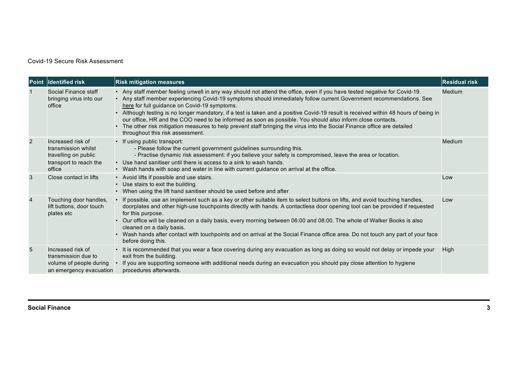|                | Point Identified risk                                                                                | <b>Risk mitigation measures</b>                                                                                                                                                                                                                                                                                                                                                                                                                                                                                                                                                                                                                                                                                     | <b>Residual risk</b> |
|----------------|------------------------------------------------------------------------------------------------------|---------------------------------------------------------------------------------------------------------------------------------------------------------------------------------------------------------------------------------------------------------------------------------------------------------------------------------------------------------------------------------------------------------------------------------------------------------------------------------------------------------------------------------------------------------------------------------------------------------------------------------------------------------------------------------------------------------------------|----------------------|
| 1              | Social Finance staff<br>bringing virus into our<br>office                                            | • Any staff member feeling unwell in any way should not attend the office, even if you have tested negative for Covid-19.<br>• Any staff member experiencing Covid-19 symptoms should immediately follow current Government recommendations. See<br>here for full guidance on Covid-19 symptoms.<br>Although testing is no longer mandatory, if a test is taken and a positive Covid-19 result is received within 48 hours of being in<br>our office, HR and the COO need to be informed as soon as possible. You should also inform close contacts.<br>The other risk mitigation measures to help prevent staff bringing the virus into the Social Finance office are detailed<br>throughout this risk assessment. | Medium               |
| $\overline{2}$ | Increased risk of<br>transmission whilst<br>travelling on public<br>transport to reach the<br>office | • If using public transport:<br>- Please follow the current government guidelines surrounding this.<br>- Practise dynamic risk assessment: if you believe your safety is compromised, leave the area or location.<br>• Use hand sanitiser until there is access to a sink to wash hands.<br>Wash hands with soap and water in line with current guidance on arrival at the office.                                                                                                                                                                                                                                                                                                                                  | Medium               |
| 3              | Close contact in lifts                                                                               | • Avoid lifts if possible and use stairs.<br>Use stairs to exit the building.<br>$\bullet$<br>When using the lift hand sanitiser should be used before and after                                                                                                                                                                                                                                                                                                                                                                                                                                                                                                                                                    | Low                  |
| $\overline{4}$ | Touching door handles,<br>lift buttons, door touch<br>plates etc                                     | If possible, use an implement such as a key or other suitable item to select buttons on lifts, and avoid touching handles,<br>doorplates and other high-use touchpoints directly with hands. A contactless door opening tool can be provided if requested<br>for this purpose.<br>Our office will be cleaned on a daily basis, every morning between 06:00 and 08:00. The whole of Walker Books is also<br>cleaned on a daily basis.<br>Wash hands after contact with touchpoints and on arrival at the Social Finance office area. Do not touch any part of your face<br>before doing this.                                                                                                                        | Low                  |
| 5              | Increased risk of<br>transmission due to<br>volume of people during<br>an emergency evacuation       | It is recommended that you wear a face covering during any evacuation as long as doing so would not delay or impede your<br>$\bullet$<br>exit from the building.<br>If you are supporting someone with additional needs during an evacuation you should pay close attention to hygiene<br>procedures afterwards.                                                                                                                                                                                                                                                                                                                                                                                                    | High                 |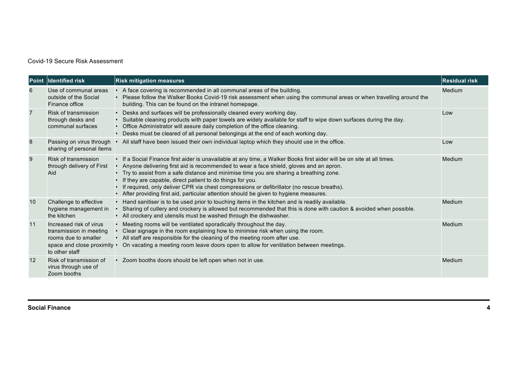| <b>Point</b>   | Identified risk                                                                                                             | <b>Risk mitigation measures</b>                                                                                                                                                                                                                                                                                                                                                                                                                                                                                                                               | <b>Residual risk</b> |
|----------------|-----------------------------------------------------------------------------------------------------------------------------|---------------------------------------------------------------------------------------------------------------------------------------------------------------------------------------------------------------------------------------------------------------------------------------------------------------------------------------------------------------------------------------------------------------------------------------------------------------------------------------------------------------------------------------------------------------|----------------------|
| 6              | Use of communal areas<br>outside of the Social<br>Finance office                                                            | • A face covering is recommended in all communal areas of the building.<br>Please follow the Walker Books Covid-19 risk assessment when using the communal areas or when travelling around the<br>building. This can be found on the intranet homepage.                                                                                                                                                                                                                                                                                                       | Medium               |
| $\overline{7}$ | Risk of transmission<br>through desks and<br>communal surfaces                                                              | Desks and surfaces will be professionally cleaned every working day.<br>Suitable cleaning products with paper towels are widely available for staff to wipe down surfaces during the day.<br>Office Administrator will assure daily completion of the office cleaning.<br>Desks must be cleared of all personal belongings at the end of each working day.                                                                                                                                                                                                    | Low                  |
| 8              | Passing on virus through •<br>sharing of personal items                                                                     | All staff have been issued their own individual laptop which they should use in the office.                                                                                                                                                                                                                                                                                                                                                                                                                                                                   | Low                  |
| 9              | Risk of transmission<br>through delivery of First<br>Aid                                                                    | • If a Social Finance first aider is unavailable at any time, a Walker Books first aider will be on site at all times.<br>Anyone delivering first aid is recommended to wear a face shield, gloves and an apron.<br>Try to assist from a safe distance and minimise time you are sharing a breathing zone.<br>If they are capable, direct patient to do things for you.<br>If required, only deliver CPR via chest compressions or defibrillator (no rescue breaths).<br>After providing first aid, particular attention should be given to hygiene measures. | Medium               |
| 10             | Challenge to effective<br>hygiene management in<br>the kitchen                                                              | • Hand sanitiser is to be used prior to touching items in the kitchen and is readily available.<br>Sharing of cutlery and crockery is allowed but recommended that this is done with caution & avoided when possible.<br>• All crockery and utensils must be washed through the dishwasher.                                                                                                                                                                                                                                                                   | Medium               |
| 11             | Increased risk of virus<br>transmission in meeting<br>rooms due to smaller<br>space and close proximity •<br>to other staff | Meeting rooms will be ventilated sporadically throughout the day.<br>Clear signage in the room explaining how to minimise risk when using the room.<br>• All staff are responsible for the cleaning of the meeting room after use.<br>On vacating a meeting room leave doors open to allow for ventilation between meetings.                                                                                                                                                                                                                                  | Medium               |
| 12             | Risk of transmission of<br>virus through use of<br>Zoom booths                                                              | • Zoom booths doors should be left open when not in use.                                                                                                                                                                                                                                                                                                                                                                                                                                                                                                      | Medium               |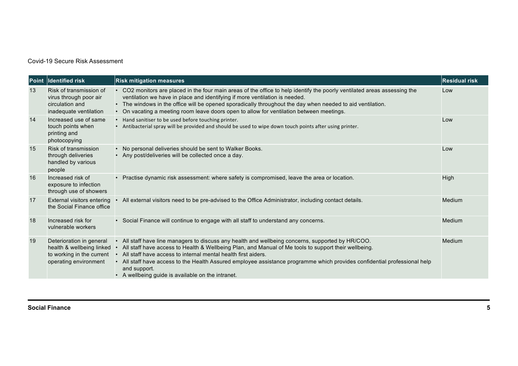| <b>Point</b> | Identified risk                                                                                             | <b>Risk mitigation measures</b>                                                                                                                                                                                                                                                                                                                                                                                                                                                | <b>Residual risk</b> |
|--------------|-------------------------------------------------------------------------------------------------------------|--------------------------------------------------------------------------------------------------------------------------------------------------------------------------------------------------------------------------------------------------------------------------------------------------------------------------------------------------------------------------------------------------------------------------------------------------------------------------------|----------------------|
| 13           | Risk of transmission of<br>virus through poor air<br>circulation and<br>inadequate ventilation              | CO2 monitors are placed in the four main areas of the office to help identify the poorly ventilated areas assessing the<br>$\bullet$<br>ventilation we have in place and identifying if more ventilation is needed.<br>The windows in the office will be opened sporadically throughout the day when needed to aid ventilation.<br>• On vacating a meeting room leave doors open to allow for ventilation between meetings.                                                    | Low                  |
| 14           | Increased use of same<br>touch points when<br>printing and<br>photocopying                                  | Hand sanitiser to be used before touching printer.<br>Antibacterial spray will be provided and should be used to wipe down touch points after using printer.                                                                                                                                                                                                                                                                                                                   | Low                  |
| 15           | <b>Risk of transmission</b><br>through deliveries<br>handled by various<br>people                           | No personal deliveries should be sent to Walker Books.<br>• Any post/deliveries will be collected once a day.                                                                                                                                                                                                                                                                                                                                                                  | Low                  |
| 16           | Increased risk of<br>exposure to infection<br>through use of showers                                        | Practise dynamic risk assessment: where safety is compromised, leave the area or location.                                                                                                                                                                                                                                                                                                                                                                                     | High                 |
| 17           | <b>External visitors entering</b><br>the Social Finance office                                              | All external visitors need to be pre-advised to the Office Administrator, including contact details.                                                                                                                                                                                                                                                                                                                                                                           | Medium               |
| 18           | Increased risk for<br>vulnerable workers                                                                    | • Social Finance will continue to engage with all staff to understand any concerns.                                                                                                                                                                                                                                                                                                                                                                                            | Medium               |
| 19           | Deterioration in general<br>health & wellbeing linked<br>to working in the current<br>operating environment | • All staff have line managers to discuss any health and wellbeing concerns, supported by HR/COO.<br>All staff have access to Health & Wellbeing Plan, and Manual of Me tools to support their wellbeing.<br>• All staff have access to internal mental health first aiders.<br>• All staff have access to the Health Assured employee assistance programme which provides confidential professional help<br>and support.<br>• A wellbeing guide is available on the intranet. | Medium               |

#### **Social Finance 5**